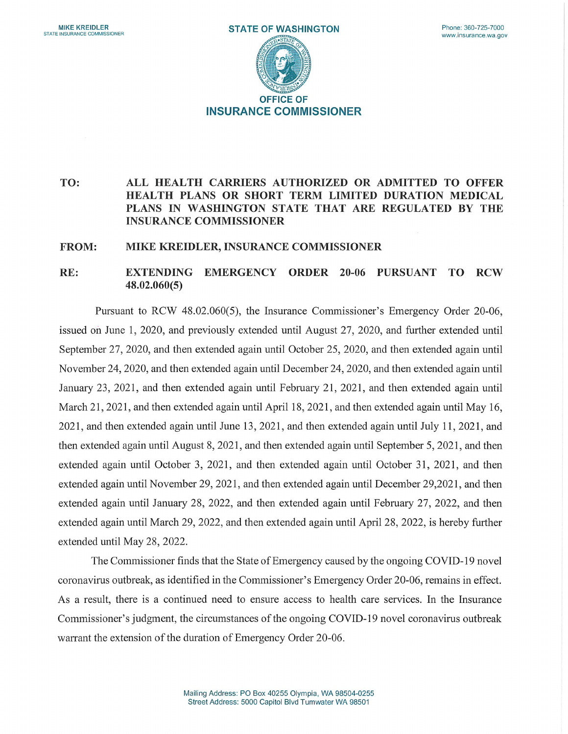

## TO: ALL HEALTH CARRIERS AUTHORIZED OR ADMITTED TO OFFER HEALTH PLANS OR SHORT TERM LIMITED DURATION MEDICAL PLANS IN WASHINGTON STATE THAT ARE REGULATED BY THE INSURANCE COMMISSIONER

## FROM: MIKE KREIDLER, INSURANCE COMMISSIONER

## RE: EXTENDIING EMERGENCY ORDER 20-06 PURSUANT TO RCW 48.02.060(5)

Pursuant to RCW 48.02.060(5), the Insurance Commissioner's Emergency Order 20-06, issued on June 1, 2020, and previously extended until August 27, 2020, and further extended until September 27, 2020, and then extended again until October 25, 2020, and then extended again until November 24, 2020, and then extended again until December 24, 2020, and then extended again until January 23, 2021, and then extended again until February 21, 2021, and then extended again until March 21, 2021, and then extended again until April 18, 2021, and then extended again until May 16, 2021, and then extended again until June 13, 2021, and then extended again until July 11, 2021, and then extended again until August 8, 2021, and then extended again until September 5, 2021, and then extended again until October 3, 2021, and then extended again until October 31, 2021, and then extended again until November 29, 2021, and then extended again until December 29,2021, and then extended again until January 28, 2022, and then extended again until February 27, 2022, and then extended again until March 29, 2022, and then extended again until April 28, 2022, is hereby further extended until May 28, 2022.

The Commissioner finds that the State of Emergency caused by the ongoing COVID-19 novel coronavirus outbreak, as identified in the Commissioner's Emergency Order 20-06, remains in effect. As a result, there is a continued need to ensure access to health care services. In the Insurance Commissioner's judgment, the circumstances of the ongoing COVID-19 novel coronavirus outbreak warrant the extension of the duration of Emergency Order 20-06.